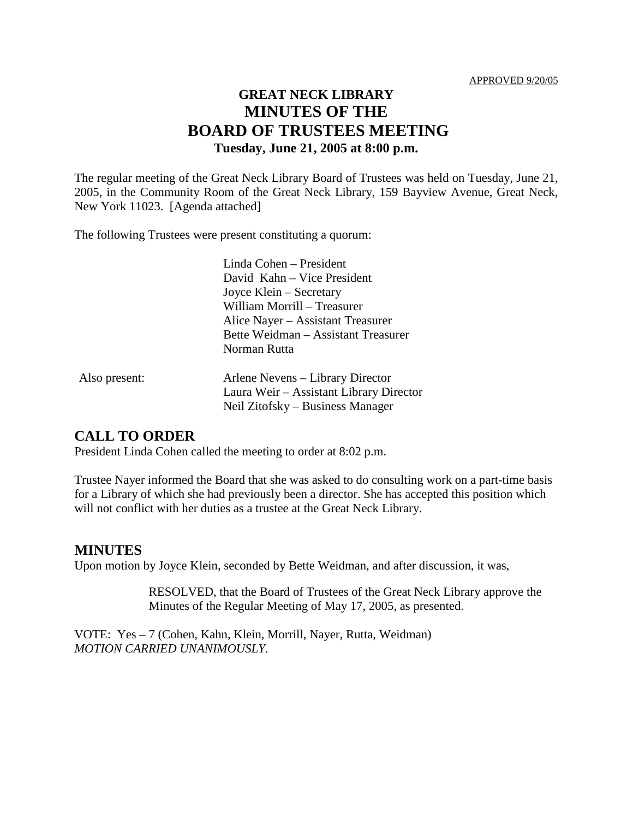# **GREAT NECK LIBRARY MINUTES OF THE BOARD OF TRUSTEES MEETING Tuesday, June 21, 2005 at 8:00 p.m.**

The regular meeting of the Great Neck Library Board of Trustees was held on Tuesday, June 21, 2005, in the Community Room of the Great Neck Library, 159 Bayview Avenue, Great Neck, New York 11023. [Agenda attached]

The following Trustees were present constituting a quorum:

|               | Linda Cohen – President<br>David Kahn – Vice President<br>Joyce Klein – Secretary<br>William Morrill - Treasurer<br>Alice Nayer – Assistant Treasurer<br>Bette Weidman – Assistant Treasurer<br>Norman Rutta |
|---------------|--------------------------------------------------------------------------------------------------------------------------------------------------------------------------------------------------------------|
| Also present: | Arlene Nevens – Library Director<br>Laura Weir – Assistant Library Director<br>Neil Zitofsky – Business Manager                                                                                              |

#### **CALL TO ORDER**

President Linda Cohen called the meeting to order at 8:02 p.m.

Trustee Nayer informed the Board that she was asked to do consulting work on a part-time basis for a Library of which she had previously been a director. She has accepted this position which will not conflict with her duties as a trustee at the Great Neck Library.

#### **MINUTES**

Upon motion by Joyce Klein, seconded by Bette Weidman, and after discussion, it was,

RESOLVED, that the Board of Trustees of the Great Neck Library approve the Minutes of the Regular Meeting of May 17, 2005, as presented.

VOTE:Yes – 7 (Cohen, Kahn, Klein, Morrill, Nayer, Rutta, Weidman) *MOTION CARRIED UNANIMOUSLY.*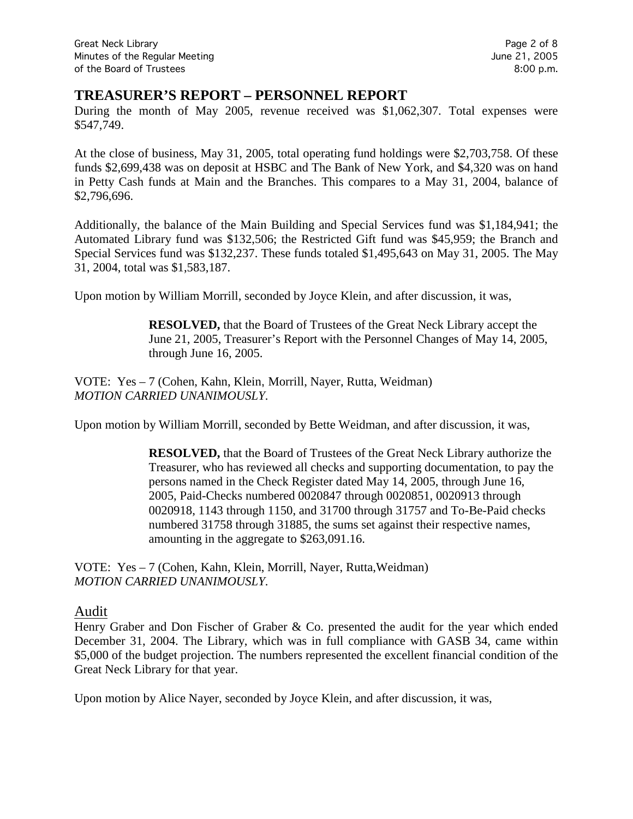## **TREASURER'S REPORT – PERSONNEL REPORT**

During the month of May 2005, revenue received was \$1,062,307. Total expenses were \$547,749.

At the close of business, May 31, 2005, total operating fund holdings were \$2,703,758. Of these funds \$2,699,438 was on deposit at HSBC and The Bank of New York, and \$4,320 was on hand in Petty Cash funds at Main and the Branches. This compares to a May 31, 2004, balance of \$2,796,696.

Additionally, the balance of the Main Building and Special Services fund was \$1,184,941; the Automated Library fund was \$132,506; the Restricted Gift fund was \$45,959; the Branch and Special Services fund was \$132,237. These funds totaled \$1,495,643 on May 31, 2005. The May 31, 2004, total was \$1,583,187.

Upon motion by William Morrill, seconded by Joyce Klein, and after discussion, it was,

**RESOLVED,** that the Board of Trustees of the Great Neck Library accept the June 21, 2005, Treasurer's Report with the Personnel Changes of May 14, 2005, through June 16, 2005.

VOTE:Yes – 7 (Cohen, Kahn, Klein, Morrill, Nayer, Rutta, Weidman) *MOTION CARRIED UNANIMOUSLY.*

Upon motion by William Morrill, seconded by Bette Weidman, and after discussion, it was,

**RESOLVED,** that the Board of Trustees of the Great Neck Library authorize the Treasurer, who has reviewed all checks and supporting documentation, to pay the persons named in the Check Register dated May 14, 2005, through June 16, 2005, Paid-Checks numbered 0020847 through 0020851, 0020913 through 0020918, 1143 through 1150, and 31700 through 31757 and To-Be-Paid checks numbered 31758 through 31885, the sums set against their respective names, amounting in the aggregate to \$263,091.16.

VOTE:Yes – 7 (Cohen, Kahn, Klein, Morrill, Nayer, Rutta,Weidman) *MOTION CARRIED UNANIMOUSLY.*

#### Audit

Henry Graber and Don Fischer of Graber & Co. presented the audit for the year which ended December 31, 2004. The Library, which was in full compliance with GASB 34, came within \$5,000 of the budget projection. The numbers represented the excellent financial condition of the Great Neck Library for that year.

Upon motion by Alice Nayer, seconded by Joyce Klein, and after discussion, it was,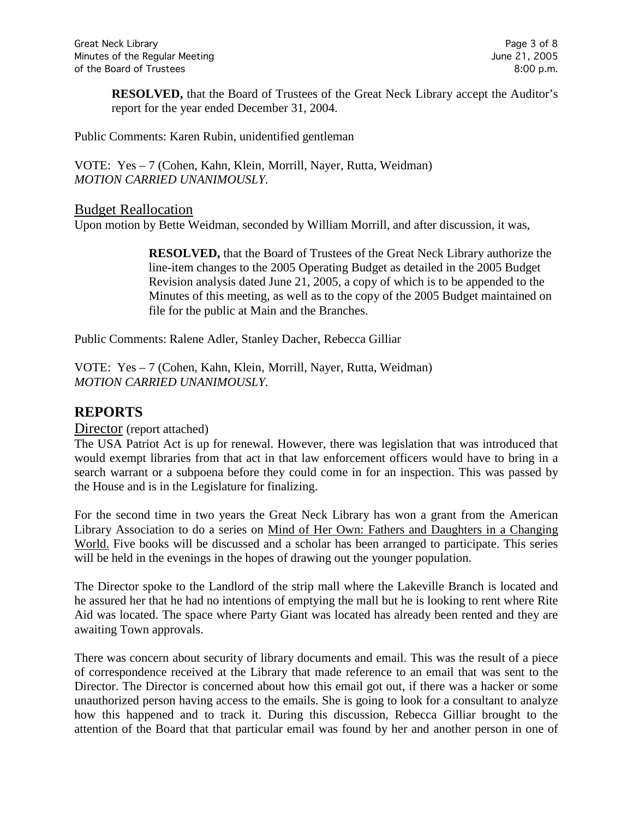**RESOLVED,** that the Board of Trustees of the Great Neck Library accept the Auditor's report for the year ended December 31, 2004.

Public Comments: Karen Rubin, unidentified gentleman

VOTE:Yes – 7 (Cohen, Kahn, Klein, Morrill, Nayer, Rutta, Weidman) *MOTION CARRIED UNANIMOUSLY.*

#### Budget Reallocation

Upon motion by Bette Weidman, seconded by William Morrill, and after discussion, it was,

**RESOLVED,** that the Board of Trustees of the Great Neck Library authorize the line-item changes to the 2005 Operating Budget as detailed in the 2005 Budget Revision analysis dated June 21, 2005, a copy of which is to be appended to the Minutes of this meeting, as well as to the copy of the 2005 Budget maintained on file for the public at Main and the Branches.

Public Comments: Ralene Adler, Stanley Dacher, Rebecca Gilliar

VOTE:Yes – 7 (Cohen, Kahn, Klein, Morrill, Nayer, Rutta, Weidman) *MOTION CARRIED UNANIMOUSLY.*

# **REPORTS**

#### Director (report attached)

The USA Patriot Act is up for renewal. However, there was legislation that was introduced that would exempt libraries from that act in that law enforcement officers would have to bring in a search warrant or a subpoena before they could come in for an inspection. This was passed by the House and is in the Legislature for finalizing.

For the second time in two years the Great Neck Library has won a grant from the American Library Association to do a series on Mind of Her Own: Fathers and Daughters in a Changing World. Five books will be discussed and a scholar has been arranged to participate. This series will be held in the evenings in the hopes of drawing out the younger population.

The Director spoke to the Landlord of the strip mall where the Lakeville Branch is located and he assured her that he had no intentions of emptying the mall but he is looking to rent where Rite Aid was located. The space where Party Giant was located has already been rented and they are awaiting Town approvals.

There was concern about security of library documents and email. This was the result of a piece of correspondence received at the Library that made reference to an email that was sent to the Director. The Director is concerned about how this email got out, if there was a hacker or some unauthorized person having access to the emails. She is going to look for a consultant to analyze how this happened and to track it. During this discussion, Rebecca Gilliar brought to the attention of the Board that that particular email was found by her and another person in one of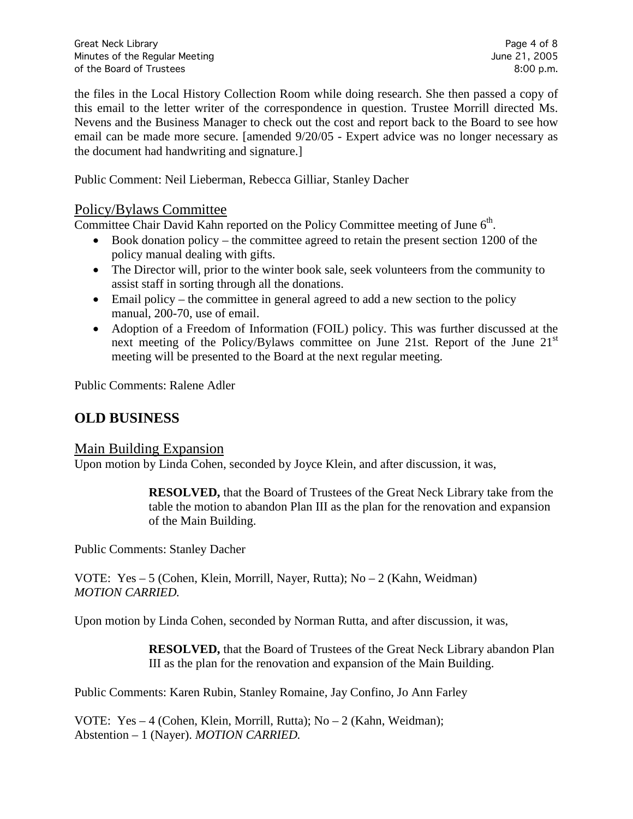the files in the Local History Collection Room while doing research. She then passed a copy of this email to the letter writer of the correspondence in question. Trustee Morrill directed Ms. Nevens and the Business Manager to check out the cost and report back to the Board to see how email can be made more secure. [amended 9/20/05 - Expert advice was no longer necessary as the document had handwriting and signature.]

Public Comment: Neil Lieberman, Rebecca Gilliar, Stanley Dacher

## Policy/Bylaws Committee

Committee Chair David Kahn reported on the Policy Committee meeting of June 6<sup>th</sup>.

- Book donation policy the committee agreed to retain the present section 1200 of the policy manual dealing with gifts.
- The Director will, prior to the winter book sale, seek volunteers from the community to assist staff in sorting through all the donations.
- $\bullet$  Email policy the committee in general agreed to add a new section to the policy manual, 200-70, use of email.
- Adoption of a Freedom of Information (FOIL) policy. This was further discussed at the next meeting of the Policy/Bylaws committee on June 21st. Report of the June 21<sup>st</sup> meeting will be presented to the Board at the next regular meeting.

Public Comments: Ralene Adler

# **OLD BUSINESS**

## Main Building Expansion

Upon motion by Linda Cohen, seconded by Joyce Klein, and after discussion, it was,

**RESOLVED,** that the Board of Trustees of the Great Neck Library take from the table the motion to abandon Plan III as the plan for the renovation and expansion of the Main Building.

Public Comments: Stanley Dacher

VOTE:Yes – 5 (Cohen, Klein, Morrill, Nayer, Rutta); No – 2 (Kahn, Weidman) *MOTION CARRIED.*

Upon motion by Linda Cohen, seconded by Norman Rutta, and after discussion, it was,

**RESOLVED,** that the Board of Trustees of the Great Neck Library abandon Plan III as the plan for the renovation and expansion of the Main Building.

Public Comments: Karen Rubin, Stanley Romaine, Jay Confino, Jo Ann Farley

VOTE:Yes – 4 (Cohen, Klein, Morrill, Rutta); No – 2 (Kahn, Weidman); Abstention – 1 (Nayer). *MOTION CARRIED.*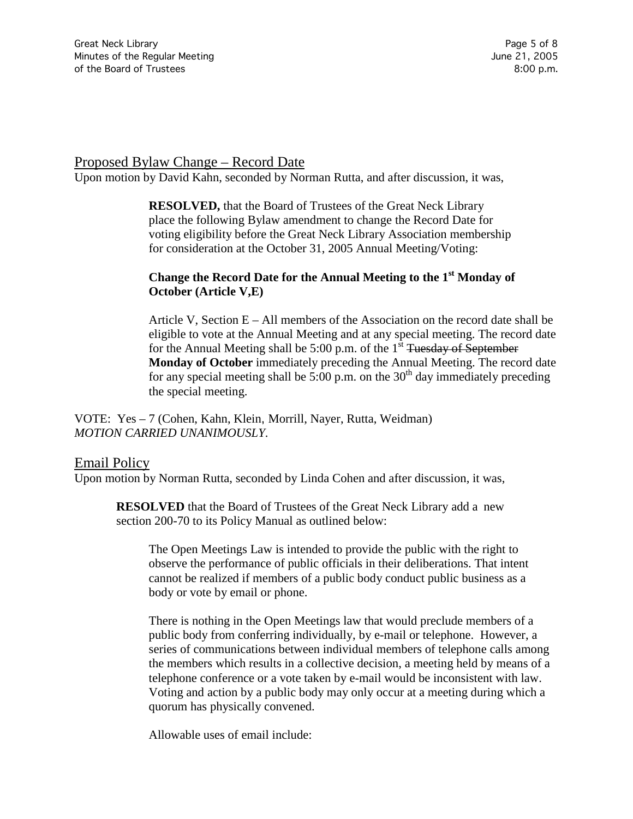#### Proposed Bylaw Change – Record Date

Upon motion by David Kahn, seconded by Norman Rutta, and after discussion, it was,

**RESOLVED,** that the Board of Trustees of the Great Neck Library place the following Bylaw amendment to change the Record Date for voting eligibility before the Great Neck Library Association membership for consideration at the October 31, 2005 Annual Meeting/Voting:

#### **Change the Record Date for the Annual Meeting to the 1<sup>st</sup> Monday of October (Article V,E)**

Article V, Section  $E - All$  members of the Association on the record date shall be eligible to vote at the Annual Meeting and at any special meeting. The record date for the Annual Meeting shall be 5:00 p.m. of the  $1<sup>st</sup>$  Tuesday of September **Monday of October** immediately preceding the Annual Meeting. The record date for any special meeting shall be  $5:00$  p.m. on the 30<sup>th</sup> day immediately preceding the special meeting.

VOTE:Yes – 7 (Cohen, Kahn, Klein, Morrill, Nayer, Rutta, Weidman) *MOTION CARRIED UNANIMOUSLY.*

#### Email Policy

Upon motion by Norman Rutta, seconded by Linda Cohen and after discussion, it was,

**RESOLVED** that the Board of Trustees of the Great Neck Library add a new section 200-70 to its Policy Manual as outlined below:

The Open Meetings Law is intended to provide the public with the right to observe the performance of public officials in their deliberations. That intent cannot be realized if members of a public body conduct public business as a body or vote by email or phone.

There is nothing in the Open Meetings law that would preclude members of a public body from conferring individually, by e-mail or telephone. However, a series of communications between individual members of telephone calls among the members which results in a collective decision, a meeting held by means of a telephone conference or a vote taken by e-mail would be inconsistent with law. Voting and action by a public body may only occur at a meeting during which a quorum has physically convened.

Allowable uses of email include: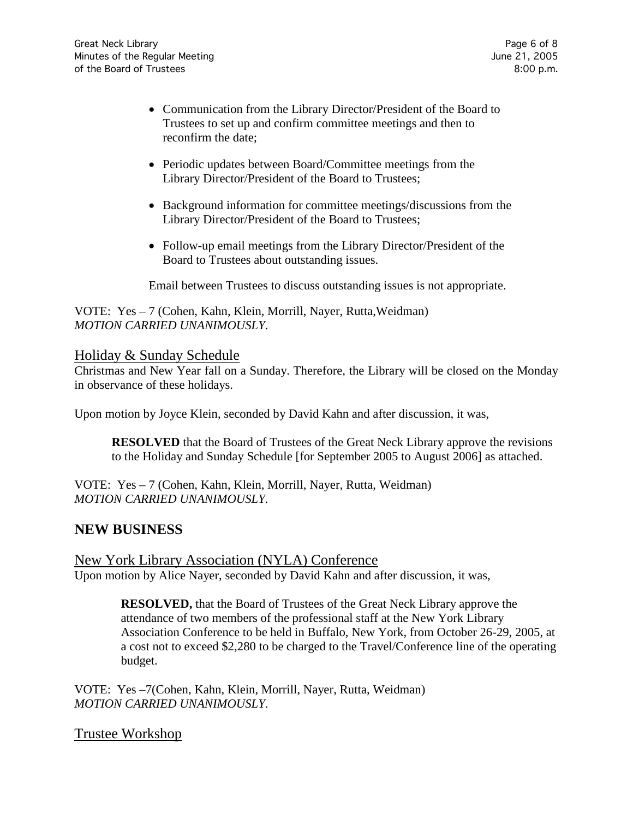- Communication from the Library Director/President of the Board to Trustees to set up and confirm committee meetings and then to reconfirm the date;
- Periodic updates between Board/Committee meetings from the Library Director/President of the Board to Trustees;
- Background information for committee meetings/discussions from the Library Director/President of the Board to Trustees;
- Follow-up email meetings from the Library Director/President of the Board to Trustees about outstanding issues.

Email between Trustees to discuss outstanding issues is not appropriate.

VOTE:Yes – 7 (Cohen, Kahn, Klein, Morrill, Nayer, Rutta,Weidman) *MOTION CARRIED UNANIMOUSLY.*

#### Holiday & Sunday Schedule

Christmas and New Year fall on a Sunday. Therefore, the Library will be closed on the Monday in observance of these holidays.

Upon motion by Joyce Klein, seconded by David Kahn and after discussion, it was,

**RESOLVED** that the Board of Trustees of the Great Neck Library approve the revisions to the Holiday and Sunday Schedule [for September 2005 to August 2006] as attached.

VOTE:Yes – 7 (Cohen, Kahn, Klein, Morrill, Nayer, Rutta, Weidman) *MOTION CARRIED UNANIMOUSLY.*

# **NEW BUSINESS**

New York Library Association (NYLA) Conference Upon motion by Alice Nayer, seconded by David Kahn and after discussion, it was,

> **RESOLVED,** that the Board of Trustees of the Great Neck Library approve the attendance of two members of the professional staff at the New York Library Association Conference to be held in Buffalo, New York, from October 26-29, 2005, at a cost not to exceed \$2,280 to be charged to the Travel/Conference line of the operating budget.

VOTE:Yes –7(Cohen, Kahn, Klein, Morrill, Nayer, Rutta, Weidman) *MOTION CARRIED UNANIMOUSLY.*

#### Trustee Workshop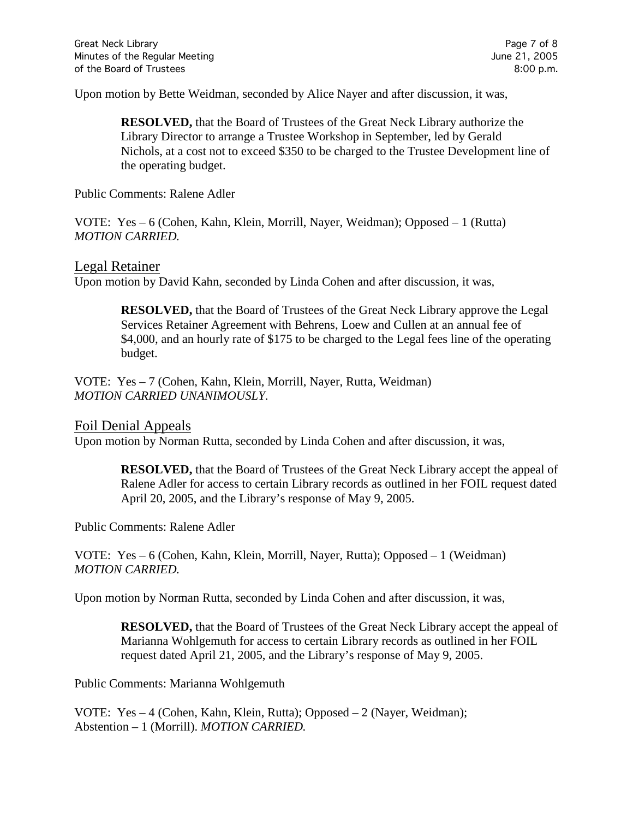Upon motion by Bette Weidman, seconded by Alice Nayer and after discussion, it was,

**RESOLVED,** that the Board of Trustees of the Great Neck Library authorize the Library Director to arrange a Trustee Workshop in September, led by Gerald Nichols, at a cost not to exceed \$350 to be charged to the Trustee Development line of the operating budget.

Public Comments: Ralene Adler

VOTE:Yes – 6 (Cohen, Kahn, Klein, Morrill, Nayer, Weidman); Opposed – 1 (Rutta) *MOTION CARRIED.*

#### Legal Retainer

Upon motion by David Kahn, seconded by Linda Cohen and after discussion, it was,

**RESOLVED,** that the Board of Trustees of the Great Neck Library approve the Legal Services Retainer Agreement with Behrens, Loew and Cullen at an annual fee of \$4,000, and an hourly rate of \$175 to be charged to the Legal fees line of the operating budget.

VOTE:Yes – 7 (Cohen, Kahn, Klein, Morrill, Nayer, Rutta, Weidman) *MOTION CARRIED UNANIMOUSLY.*

Foil Denial Appeals

Upon motion by Norman Rutta, seconded by Linda Cohen and after discussion, it was,

**RESOLVED,** that the Board of Trustees of the Great Neck Library accept the appeal of Ralene Adler for access to certain Library records as outlined in her FOIL request dated April 20, 2005, and the Library's response of May 9, 2005.

Public Comments: Ralene Adler

VOTE:Yes – 6 (Cohen, Kahn, Klein, Morrill, Nayer, Rutta); Opposed – 1 (Weidman) *MOTION CARRIED.*

Upon motion by Norman Rutta, seconded by Linda Cohen and after discussion, it was,

**RESOLVED,** that the Board of Trustees of the Great Neck Library accept the appeal of Marianna Wohlgemuth for access to certain Library records as outlined in her FOIL request dated April 21, 2005, and the Library's response of May 9, 2005.

Public Comments: Marianna Wohlgemuth

VOTE:Yes – 4 (Cohen, Kahn, Klein, Rutta); Opposed – 2 (Nayer, Weidman); Abstention – 1 (Morrill). *MOTION CARRIED.*